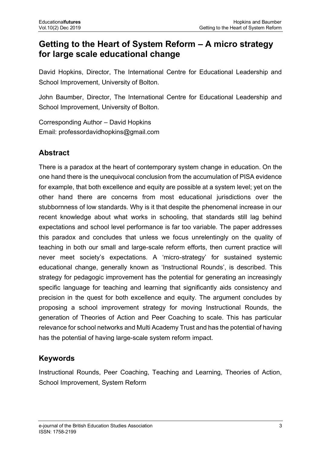## **Getting to the Heart of System Reform – A micro strategy for large scale educational change**

David Hopkins, Director, The International Centre for Educational Leadership and School Improvement, University of Bolton.

John Baumber, Director, The International Centre for Educational Leadership and School Improvement, University of Bolton.

Corresponding Author – David Hopkins Email: professordavidhopkins@gmail.com

## **Abstract**

There is a paradox at the heart of contemporary system change in education. On the one hand there is the unequivocal conclusion from the accumulation of PISA evidence for example, that both excellence and equity are possible at a system level; yet on the other hand there are concerns from most educational jurisdictions over the stubbornness of low standards. Why is it that despite the phenomenal increase in our recent knowledge about what works in schooling, that standards still lag behind expectations and school level performance is far too variable. The paper addresses this paradox and concludes that unless we focus unrelentingly on the quality of teaching in both our small and large-scale reform efforts, then current practice will never meet society's expectations. A 'micro-strategy' for sustained systemic educational change, generally known as 'Instructional Rounds', is described. This strategy for pedagogic improvement has the potential for generating an increasingly specific language for teaching and learning that significantly aids consistency and precision in the quest for both excellence and equity. The argument concludes by proposing a school improvement strategy for moving Instructional Rounds, the generation of Theories of Action and Peer Coaching to scale. This has particular relevance for school networks and Multi Academy Trust and has the potential of having has the potential of having large-scale system reform impact.

## **Keywords**

Instructional Rounds, Peer Coaching, Teaching and Learning, Theories of Action, School Improvement, System Reform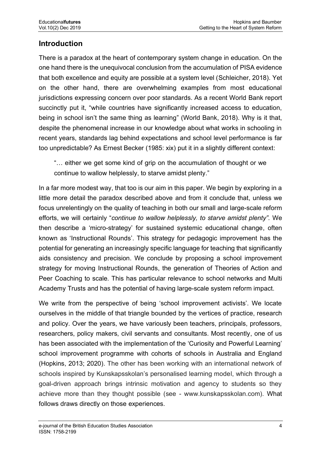#### **Introduction**

There is a paradox at the heart of contemporary system change in education. On the one hand there is the unequivocal conclusion from the accumulation of PISA evidence that both excellence and equity are possible at a system level (Schleicher, 2018). Yet on the other hand, there are overwhelming examples from most educational jurisdictions expressing concern over poor standards. As a recent World Bank report succinctly put it, "while countries have significantly increased access to education, being in school isn't the same thing as learning" (World Bank, 2018). Why is it that, despite the phenomenal increase in our knowledge about what works in schooling in recent years, standards lag behind expectations and school level performance is far too unpredictable? As Ernest Becker (1985: xix) put it in a slightly different context:

"… either we get some kind of grip on the accumulation of thought or we continue to wallow helplessly, to starve amidst plenty."

In a far more modest way, that too is our aim in this paper. We begin by exploring in a little more detail the paradox described above and from it conclude that, unless we focus unrelentingly on the quality of teaching in both our small and large-scale reform efforts, we will certainly "*continue to wallow helplessly, to starve amidst plenty".* We then describe a 'micro-strategy' for sustained systemic educational change, often known as 'Instructional Rounds'. This strategy for pedagogic improvement has the potential for generating an increasingly specific language for teaching that significantly aids consistency and precision. We conclude by proposing a school improvement strategy for moving Instructional Rounds, the generation of Theories of Action and Peer Coaching to scale. This has particular relevance to school networks and Multi Academy Trusts and has the potential of having large-scale system reform impact.

We write from the perspective of being 'school improvement activists'. We locate ourselves in the middle of that triangle bounded by the vertices of practice, research and policy. Over the years, we have variously been teachers, principals, professors, researchers, policy makers, civil servants and consultants. Most recently, one of us has been associated with the implementation of the 'Curiosity and Powerful Learning' school improvement programme with cohorts of schools in Australia and England (Hopkins, 2013; 2020). The other has been working with an international network of schools inspired by Kunskapsskolan's personalised learning model, which through a goal-driven approach brings intrinsic motivation and agency to students so they achieve more than they thought possible (see - www.kunskapsskolan.com). What follows draws directly on those experiences.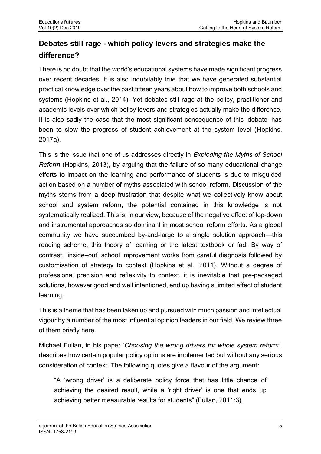# **Debates still rage - which policy levers and strategies make the difference?**

There is no doubt that the world's educational systems have made significant progress over recent decades. It is also indubitably true that we have generated substantial practical knowledge over the past fifteen years about how to improve both schools and systems (Hopkins et al., 2014). Yet debates still rage at the policy, practitioner and academic levels over which policy levers and strategies actually make the difference. It is also sadly the case that the most significant consequence of this 'debate' has been to slow the progress of student achievement at the system level (Hopkins, 2017a).

This is the issue that one of us addresses directly in *Exploding the Myths of School Reform* (Hopkins, 2013), by arguing that the failure of so many educational change efforts to impact on the learning and performance of students is due to misguided action based on a number of myths associated with school reform. Discussion of the myths stems from a deep frustration that despite what we collectively know about school and system reform, the potential contained in this knowledge is not systematically realized. This is, in our view, because of the negative effect of top-down and instrumental approaches so dominant in most school reform efforts. As a global community we have succumbed by-and-large to a single solution approach—this reading scheme, this theory of learning or the latest textbook or fad. By way of contrast, 'inside–out' school improvement works from careful diagnosis followed by customisation of strategy to context (Hopkins et al., 2011). Without a degree of professional precision and reflexivity to context, it is inevitable that pre-packaged solutions, however good and well intentioned, end up having a limited effect of student learning.

This is a theme that has been taken up and pursued with much passion and intellectual vigour by a number of the most influential opinion leaders in our field. We review three of them briefly here.

Michael Fullan, in his paper '*Choosing the wrong drivers for whole system reform',* describes how certain popular policy options are implemented but without any serious consideration of context. The following quotes give a flavour of the argument:

"A 'wrong driver' is a deliberate policy force that has little chance of achieving the desired result, while a 'right driver' is one that ends up achieving better measurable results for students" (Fullan, 2011:3).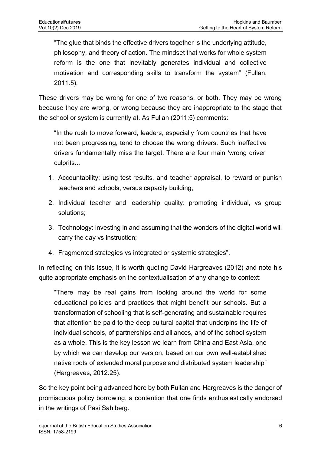"The glue that binds the effective drivers together is the underlying attitude, philosophy, and theory of action. The mindset that works for whole system reform is the one that inevitably generates individual and collective motivation and corresponding skills to transform the system" (Fullan, 2011:5).

These drivers may be wrong for one of two reasons, or both. They may be wrong because they are wrong, or wrong because they are inappropriate to the stage that the school or system is currently at. As Fullan (2011:5) comments:

"In the rush to move forward, leaders, especially from countries that have not been progressing, tend to choose the wrong drivers. Such ineffective drivers fundamentally miss the target. There are four main 'wrong driver' culprits...

- 1. Accountability: using test results, and teacher appraisal, to reward or punish teachers and schools, versus capacity building;
- 2. Individual teacher and leadership quality: promoting individual, vs group solutions;
- 3. Technology: investing in and assuming that the wonders of the digital world will carry the day vs instruction;
- 4. Fragmented strategies vs integrated or systemic strategies".

In reflecting on this issue, it is worth quoting David Hargreaves (2012) and note his quite appropriate emphasis on the contextualisation of any change to context:

"There may be real gains from looking around the world for some educational policies and practices that might benefit our schools. But a transformation of schooling that is self-generating and sustainable requires that attention be paid to the deep cultural capital that underpins the life of individual schools, of partnerships and alliances, and of the school system as a whole. This is the key lesson we learn from China and East Asia, one by which we can develop our version, based on our own well-established native roots of extended moral purpose and distributed system leadership" (Hargreaves, 2012:25).

So the key point being advanced here by both Fullan and Hargreaves is the danger of promiscuous policy borrowing, a contention that one finds enthusiastically endorsed in the writings of Pasi Sahlberg.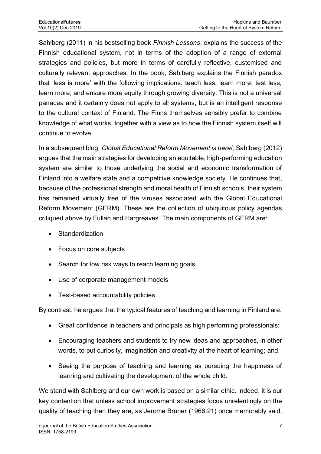Sahlberg (2011) in his bestselling book *Finnish Lessons*, explains the success of the Finnish educational system, not in terms of the adoption of a range of external strategies and policies, but more in terms of carefully reflective, customised and culturally relevant approaches. In the book, Sahlberg explains the Finnish paradox that 'less is more' with the following implications: teach less, learn more; test less, learn more; and ensure more equity through growing diversity. This is not a universal panacea and it certainly does not apply to all systems, but is an intelligent response to the cultural context of Finland. The Finns themselves sensibly prefer to combine knowledge of what works, together with a view as to how the Finnish system itself will continue to evolve.

In a subsequent blog, *Global Educational Reform Movement is here!,* Sahlberg (2012) argues that the main strategies for developing an equitable, high-performing education system are similar to those underlying the social and economic transformation of Finland into a welfare state and a competitive knowledge society. He continues that, because of the professional strength and moral health of Finnish schools, their system has remained virtually free of the viruses associated with the Global Educational Reform Movement (GERM). These are the collection of ubiquitous policy agendas critiqued above by Fullan and Hargreaves. The main components of GERM are:

- Standardization
- Focus on core subjects
- Search for low risk ways to reach learning goals
- Use of corporate management models
- Test-based accountability policies.

By contrast, he argues that the typical features of teaching and learning in Finland are:

- Great confidence in teachers and principals as high performing professionals;
- Encouraging teachers and students to try new ideas and approaches, in other words, to put curiosity, imagination and creativity at the heart of learning; and,
- Seeing the purpose of teaching and learning as pursuing the happiness of learning and cultivating the development of the whole child.

We stand with Sahlberg and our own work is based on a similar ethic. Indeed, it is our key contention that unless school improvement strategies focus unrelentingly on the quality of teaching then they are, as Jerome Bruner (1966:21) once memorably said,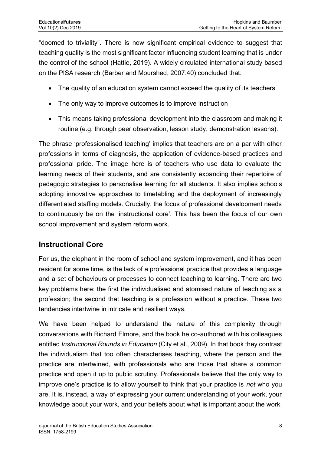"doomed to triviality". There is now significant empirical evidence to suggest that teaching quality is the most significant factor influencing student learning that is under the control of the school (Hattie, 2019). A widely circulated international study based on the PISA research (Barber and Mourshed, 2007:40) concluded that:

- The quality of an education system cannot exceed the quality of its teachers
- The only way to improve outcomes is to improve instruction
- This means taking professional development into the classroom and making it routine (e.g. through peer observation, lesson study, demonstration lessons).

The phrase 'professionalised teaching' implies that teachers are on a par with other professions in terms of diagnosis, the application of evidence-based practices and professional pride. The image here is of teachers who use data to evaluate the learning needs of their students, and are consistently expanding their repertoire of pedagogic strategies to personalise learning for all students. It also implies schools adopting innovative approaches to timetabling and the deployment of increasingly differentiated staffing models. Crucially, the focus of professional development needs to continuously be on the 'instructional core'. This has been the focus of our own school improvement and system reform work.

## **Instructional Core**

For us, the elephant in the room of school and system improvement, and it has been resident for some time, is the lack of a professional practice that provides a language and a set of behaviours or processes to connect teaching to learning. There are two key problems here: the first the individualised and atomised nature of teaching as a profession; the second that teaching is a profession without a practice. These two tendencies intertwine in intricate and resilient ways.

We have been helped to understand the nature of this complexity through conversations with Richard Elmore, and the book he co-authored with his colleagues entitled *Instructional Rounds in Education* (City et al., 2009). In that book they contrast the individualism that too often characterises teaching, where the person and the practice are intertwined, with professionals who are those that share a common practice and open it up to public scrutiny. Professionals believe that the only way to improve one's practice is to allow yourself to think that your practice is *not* who you are. It is, instead, a way of expressing your current understanding of your work, your knowledge about your work, and your beliefs about what is important about the work.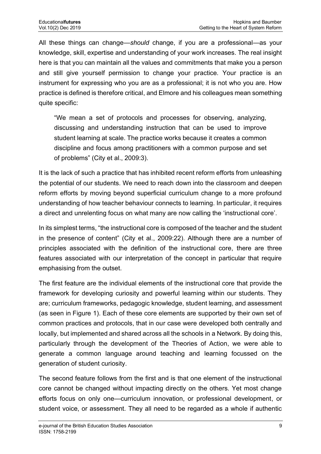All these things can change—*should* change, if you are a professional—as your knowledge, skill, expertise and understanding of your work increases. The real insight here is that you can maintain all the values and commitments that make you a person and still give yourself permission to change your practice. Your practice is an instrument for expressing who you are as a professional; it is not who you are. How practice is defined is therefore critical, and Elmore and his colleagues mean something quite specific:

"We mean a set of protocols and processes for observing, analyzing, discussing and understanding instruction that can be used to improve student learning at scale. The practice works because it creates a common discipline and focus among practitioners with a common purpose and set of problems" (City et al., 2009:3).

It is the lack of such a practice that has inhibited recent reform efforts from unleashing the potential of our students. We need to reach down into the classroom and deepen reform efforts by moving beyond superficial curriculum change to a more profound understanding of how teacher behaviour connects to learning. In particular, it requires a direct and unrelenting focus on what many are now calling the 'instructional core'.

In its simplest terms, "the instructional core is composed of the teacher and the student in the presence of content" (City et al., 2009:22). Although there are a number of principles associated with the definition of the instructional core, there are three features associated with our interpretation of the concept in particular that require emphasising from the outset.

The first feature are the individual elements of the instructional core that provide the framework for developing curiosity and powerful learning within our students. They are; curriculum frameworks, pedagogic knowledge, student learning, and assessment (as seen in Figure 1). Each of these core elements are supported by their own set of common practices and protocols, that in our case were developed both centrally and locally, but implemented and shared across all the schools in a Network. By doing this, particularly through the development of the Theories of Action, we were able to generate a common language around teaching and learning focussed on the generation of student curiosity.

The second feature follows from the first and is that one element of the instructional core cannot be changed without impacting directly on the others. Yet most change efforts focus on only one—curriculum innovation, or professional development, or student voice, or assessment. They all need to be regarded as a whole if authentic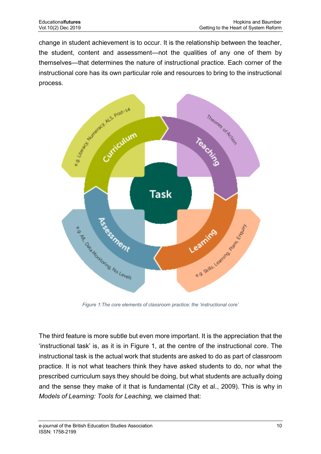change in student achievement is to occur. It is the relationship between the teacher, the student, content and assessment—not the qualities of any one of them by themselves—that determines the nature of instructional practice. Each corner of the instructional core has its own particular role and resources to bring to the instructional process.



*Figure 1:The core elements of classroom practice: the 'instructional core'*

The third feature is more subtle but even more important. It is the appreciation that the 'instructional task' is, as it is in Figure 1, at the centre of the instructional core. The instructional task is the actual work that students are asked to do as part of classroom practice. It is not what teachers think they have asked students to do, nor what the prescribed curriculum says they should be doing, but what students are actually doing and the sense they make of it that is fundamental (City et al., 2009). This is why in *Models of Learning: Tools for Leaching,* we claimed that: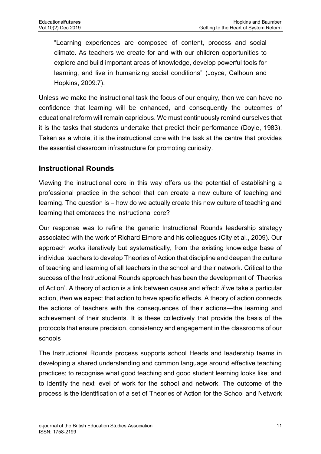"Learning experiences are composed of content, process and social climate. As teachers we create for and with our children opportunities to explore and build important areas of knowledge, develop powerful tools for learning, and live in humanizing social conditions" (Joyce, Calhoun and Hopkins, 2009:7).

Unless we make the instructional task the focus of our enquiry, then we can have no confidence that learning will be enhanced, and consequently the outcomes of educational reform will remain capricious. We must continuously remind ourselves that it is the tasks that students undertake that predict their performance (Doyle, 1983). Taken as a whole, it is the instructional core with the task at the centre that provides the essential classroom infrastructure for promoting curiosity.

#### **Instructional Rounds**

Viewing the instructional core in this way offers us the potential of establishing a professional practice in the school that can create a new culture of teaching and learning. The question is – how do we actually create this new culture of teaching and learning that embraces the instructional core?

Our response was to refine the generic Instructional Rounds leadership strategy associated with the work of Richard Elmore and his colleagues (City et al., 2009). Our approach works iteratively but systematically, from the existing knowledge base of individual teachers to develop Theories of Action that discipline and deepen the culture of teaching and learning of all teachers in the school and their network. Critical to the success of the Instructional Rounds approach has been the development of 'Theories of Action'. A theory of action is a link between cause and effect: *if* we take a particular action, *then* we expect that action to have specific effects. A theory of action connects the actions of teachers with the consequences of their actions—the learning and achievement of their students. It is these collectively that provide the basis of the protocols that ensure precision, consistency and engagement in the classrooms of our schools

The Instructional Rounds process supports school Heads and leadership teams in developing a shared understanding and common language around effective teaching practices; to recognise what good teaching and good student learning looks like; and to identify the next level of work for the school and network. The outcome of the process is the identification of a set of Theories of Action for the School and Network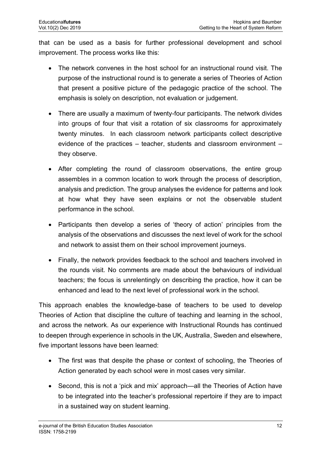that can be used as a basis for further professional development and school improvement. The process works like this:

- The network convenes in the host school for an instructional round visit. The purpose of the instructional round is to generate a series of Theories of Action that present a positive picture of the pedagogic practice of the school. The emphasis is solely on description, not evaluation or judgement.
- There are usually a maximum of twenty-four participants. The network divides into groups of four that visit a rotation of six classrooms for approximately twenty minutes. In each classroom network participants collect descriptive evidence of the practices – teacher, students and classroom environment – they observe.
- After completing the round of classroom observations, the entire group assembles in a common location to work through the process of description, analysis and prediction. The group analyses the evidence for patterns and look at how what they have seen explains or not the observable student performance in the school.
- Participants then develop a series of 'theory of action' principles from the analysis of the observations and discusses the next level of work for the school and network to assist them on their school improvement journeys.
- Finally, the network provides feedback to the school and teachers involved in the rounds visit. No comments are made about the behaviours of individual teachers; the focus is unrelentingly on describing the practice, how it can be enhanced and lead to the next level of professional work in the school.

This approach enables the knowledge-base of teachers to be used to develop Theories of Action that discipline the culture of teaching and learning in the school, and across the network. As our experience with Instructional Rounds has continued to deepen through experience in schools in the UK, Australia, Sweden and elsewhere, five important lessons have been learned:

- The first was that despite the phase or context of schooling, the Theories of Action generated by each school were in most cases very similar.
- Second, this is not a 'pick and mix' approach—all the Theories of Action have to be integrated into the teacher's professional repertoire if they are to impact in a sustained way on student learning.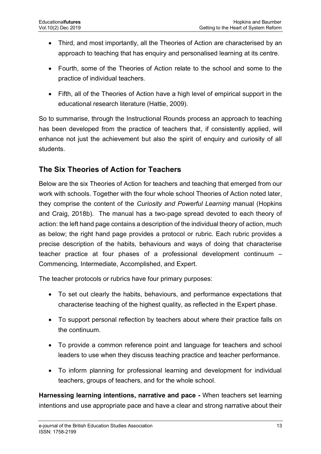- Third, and most importantly, all the Theories of Action are characterised by an approach to teaching that has enquiry and personalised learning at its centre.
- Fourth, some of the Theories of Action relate to the school and some to the practice of individual teachers.
- Fifth, all of the Theories of Action have a high level of empirical support in the educational research literature (Hattie, 2009).

So to summarise, through the Instructional Rounds process an approach to teaching has been developed from the practice of teachers that, if consistently applied, will enhance not just the achievement but also the spirit of enquiry and curiosity of all students.

#### **The Six Theories of Action for Teachers**

Below are the six Theories of Action for teachers and teaching that emerged from our work with schools. Together with the four whole school Theories of Action noted later, they comprise the content of the *Curiosity and Powerful Learning* manual (Hopkins and Craig, 2018b). The manual has a two-page spread devoted to each theory of action: the left hand page contains a description of the individual theory of action, much as below; the right hand page provides a protocol or rubric. Each rubric provides a precise description of the habits, behaviours and ways of doing that characterise teacher practice at four phases of a professional development continuum – Commencing, Intermediate, Accomplished, and Expert.

The teacher protocols or rubrics have four primary purposes:

- To set out clearly the habits, behaviours, and performance expectations that characterise teaching of the highest quality, as reflected in the Expert phase.
- To support personal reflection by teachers about where their practice falls on the continuum.
- To provide a common reference point and language for teachers and school leaders to use when they discuss teaching practice and teacher performance.
- To inform planning for professional learning and development for individual teachers, groups of teachers, and for the whole school.

**Harnessing learning intentions, narrative and pace -** When teachers set learning intentions and use appropriate pace and have a clear and strong narrative about their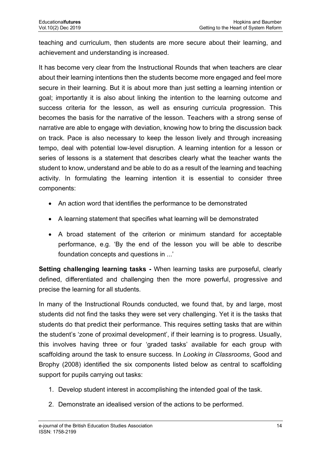teaching and curriculum, then students are more secure about their learning, and achievement and understanding is increased.

It has become very clear from the Instructional Rounds that when teachers are clear about their learning intentions then the students become more engaged and feel more secure in their learning. But it is about more than just setting a learning intention or goal; importantly it is also about linking the intention to the learning outcome and success criteria for the lesson, as well as ensuring curricula progression. This becomes the basis for the narrative of the lesson. Teachers with a strong sense of narrative are able to engage with deviation, knowing how to bring the discussion back on track. Pace is also necessary to keep the lesson lively and through increasing tempo, deal with potential low-level disruption. A learning intention for a lesson or series of lessons is a statement that describes clearly what the teacher wants the student to know, understand and be able to do as a result of the learning and teaching activity. In formulating the learning intention it is essential to consider three components:

- An action word that identifies the performance to be demonstrated
- A learning statement that specifies what learning will be demonstrated
- A broad statement of the criterion or minimum standard for acceptable performance, e.g. 'By the end of the lesson you will be able to describe foundation concepts and questions in ...'

**Setting challenging learning tasks -** When learning tasks are purposeful, clearly defined, differentiated and challenging then the more powerful, progressive and precise the learning for all students.

In many of the Instructional Rounds conducted, we found that, by and large, most students did not find the tasks they were set very challenging. Yet it is the tasks that students do that predict their performance. This requires setting tasks that are within the student's 'zone of proximal development', if their learning is to progress. Usually, this involves having three or four 'graded tasks' available for each group with scaffolding around the task to ensure success. In *Looking in Classrooms*, Good and Brophy (2008) identified the six components listed below as central to scaffolding support for pupils carrying out tasks:

- 1. Develop student interest in accomplishing the intended goal of the task.
- 2. Demonstrate an idealised version of the actions to be performed.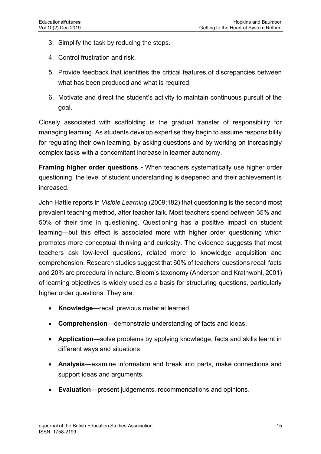- 3. Simplify the task by reducing the steps.
- 4. Control frustration and risk.
- 5. Provide feedback that identifies the critical features of discrepancies between what has been produced and what is required.
- 6. Motivate and direct the student's activity to maintain continuous pursuit of the goal.

Closely associated with scaffolding is the gradual transfer of responsibility for managing learning. As students develop expertise they begin to assume responsibility for regulating their own learning, by asking questions and by working on increasingly complex tasks with a concomitant increase in learner autonomy.

**Framing higher order questions -** When teachers systematically use higher order questioning, the level of student understanding is deepened and their achievement is increased.

John Hattie reports in *Visible Learning* (2009:182) that questioning is the second most prevalent teaching method, after teacher talk. Most teachers spend between 35% and 50% of their time in questioning. Questioning has a positive impact on student learning—but this effect is associated more with higher order questioning which promotes more conceptual thinking and curiosity. The evidence suggests that most teachers ask low-level questions, related more to knowledge acquisition and comprehension. Research studies suggest that 60% of teachers' questions recall facts and 20% are procedural in nature. Bloom's taxonomy (Anderson and Krathwohl, 2001) of learning objectives is widely used as a basis for structuring questions, particularly higher order questions. They are:

- **Knowledge**—recall previous material learned.
- **Comprehension**—demonstrate understanding of facts and ideas.
- **Application**—solve problems by applying knowledge, facts and skills learnt in different ways and situations.
- **Analysis**—examine information and break into parts, make connections and support ideas and arguments.
- **Evaluation**—present judgements, recommendations and opinions.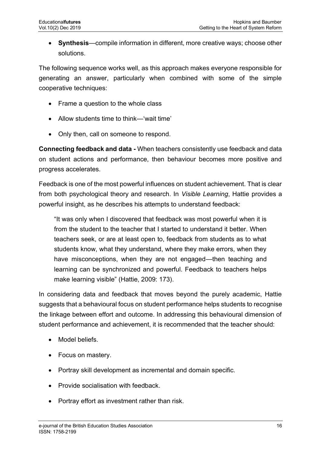**Synthesis**—compile information in different, more creative ways; choose other solutions.

The following sequence works well, as this approach makes everyone responsible for generating an answer, particularly when combined with some of the simple cooperative techniques:

- Frame a question to the whole class
- Allow students time to think—'wait time'
- Only then, call on someone to respond.

**Connecting feedback and data -** When teachers consistently use feedback and data on student actions and performance, then behaviour becomes more positive and progress accelerates.

Feedback is one of the most powerful influences on student achievement. That is clear from both psychological theory and research. In *Visible Learning*, Hattie provides a powerful insight, as he describes his attempts to understand feedback:

"It was only when I discovered that feedback was most powerful when it is from the student to the teacher that I started to understand it better. When teachers seek, or are at least open to, feedback from students as to what students know, what they understand, where they make errors, when they have misconceptions, when they are not engaged—then teaching and learning can be synchronized and powerful. Feedback to teachers helps make learning visible" (Hattie, 2009: 173).

In considering data and feedback that moves beyond the purely academic, Hattie suggests that a behavioural focus on student performance helps students to recognise the linkage between effort and outcome. In addressing this behavioural dimension of student performance and achievement, it is recommended that the teacher should:

- Model beliefs.
- Focus on mastery.
- Portray skill development as incremental and domain specific.
- Provide socialisation with feedback.
- Portray effort as investment rather than risk.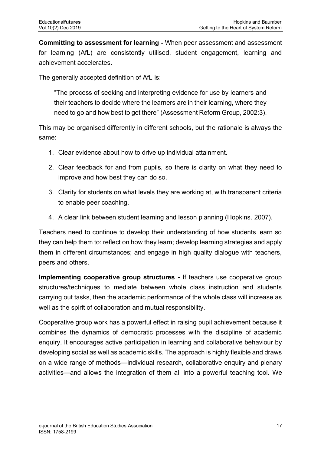**Committing to assessment for learning -** When peer assessment and assessment for learning (AfL) are consistently utilised, student engagement, learning and achievement accelerates.

The generally accepted definition of AfL is:

"The process of seeking and interpreting evidence for use by learners and their teachers to decide where the learners are in their learning, where they need to go and how best to get there" (Assessment Reform Group, 2002:3).

This may be organised differently in different schools, but the rationale is always the same:

- 1. Clear evidence about how to drive up individual attainment.
- 2. Clear feedback for and from pupils, so there is clarity on what they need to improve and how best they can do so.
- 3. Clarity for students on what levels they are working at, with transparent criteria to enable peer coaching.
- 4. A clear link between student learning and lesson planning (Hopkins, 2007).

Teachers need to continue to develop their understanding of how students learn so they can help them to: reflect on how they learn; develop learning strategies and apply them in different circumstances; and engage in high quality dialogue with teachers, peers and others.

**Implementing cooperative group structures -** If teachers use cooperative group structures/techniques to mediate between whole class instruction and students carrying out tasks, then the academic performance of the whole class will increase as well as the spirit of collaboration and mutual responsibility.

Cooperative group work has a powerful effect in raising pupil achievement because it combines the dynamics of democratic processes with the discipline of academic enquiry. It encourages active participation in learning and collaborative behaviour by developing social as well as academic skills. The approach is highly flexible and draws on a wide range of methods—individual research, collaborative enquiry and plenary activities—and allows the integration of them all into a powerful teaching tool. We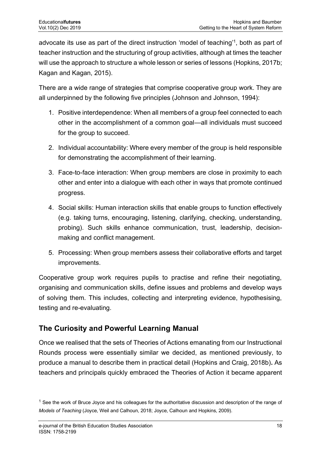advocate its use as part of the direct instruction 'model of teaching'<sup>1</sup>, both as part of teacher instruction and the structuring of group activities, although at times the teacher will use the approach to structure a whole lesson or series of lessons (Hopkins, 2017b; Kagan and Kagan, 2015).

There are a wide range of strategies that comprise cooperative group work. They are all underpinned by the following five principles (Johnson and Johnson, 1994):

- 1. Positive interdependence: When all members of a group feel connected to each other in the accomplishment of a common goal—all individuals must succeed for the group to succeed.
- 2. Individual accountability: Where every member of the group is held responsible for demonstrating the accomplishment of their learning.
- 3. Face-to-face interaction: When group members are close in proximity to each other and enter into a dialogue with each other in ways that promote continued progress.
- 4. Social skills: Human interaction skills that enable groups to function effectively (e.g. taking turns, encouraging, listening, clarifying, checking, understanding, probing). Such skills enhance communication, trust, leadership, decisionmaking and conflict management.
- 5. Processing: When group members assess their collaborative efforts and target improvements.

Cooperative group work requires pupils to practise and refine their negotiating, organising and communication skills, define issues and problems and develop ways of solving them. This includes, collecting and interpreting evidence, hypothesising, testing and re-evaluating.

## **The Curiosity and Powerful Learning Manual**

Once we realised that the sets of Theories of Actions emanating from our Instructional Rounds process were essentially similar we decided, as mentioned previously, to produce a manual to describe them in practical detail (Hopkins and Craig, 2018b)**.** As teachers and principals quickly embraced the Theories of Action it became apparent

 $<sup>1</sup>$  See the work of Bruce Joyce and his colleagues for the authoritative discussion and description of the range of</sup> *Models of Teaching* (Joyce, Weil and Calhoun, 2018; Joyce, Calhoun and Hopkins, 2009).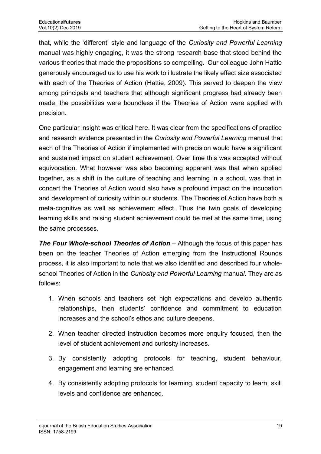that, while the 'different' style and language of the *Curiosity and Powerful Learning* manual was highly engaging, it was the strong research base that stood behind the various theories that made the propositions so compelling. Our colleague John Hattie generously encouraged us to use his work to illustrate the likely effect size associated with each of the Theories of Action (Hattie, 2009). This served to deepen the view among principals and teachers that although significant progress had already been made, the possibilities were boundless if the Theories of Action were applied with precision.

One particular insight was critical here. It was clear from the specifications of practice and research evidence presented in the *Curiosity and Powerful Learning* manual that each of the Theories of Action if implemented with precision would have a significant and sustained impact on student achievement. Over time this was accepted without equivocation. What however was also becoming apparent was that when applied together, as a shift in the culture of teaching and learning in a school, was that in concert the Theories of Action would also have a profound impact on the incubation and development of curiosity within our students. The Theories of Action have both a meta-cognitive as well as achievement effect. Thus the twin goals of developing learning skills and raising student achievement could be met at the same time, using the same processes.

*The Four Whole-school Theories of Action* – Although the focus of this paper has been on the teacher Theories of Action emerging from the Instructional Rounds process, it is also important to note that we also identified and described four wholeschool Theories of Action in the *Curiosity and Powerful Learning* manua*l*. They are as follows:

- 1. When schools and teachers set high expectations and develop authentic relationships, then students' confidence and commitment to education increases and the school's ethos and culture deepens.
- 2. When teacher directed instruction becomes more enquiry focused, then the level of student achievement and curiosity increases.
- 3. By consistently adopting protocols for teaching, student behaviour, engagement and learning are enhanced.
- 4. By consistently adopting protocols for learning, student capacity to learn, skill levels and confidence are enhanced.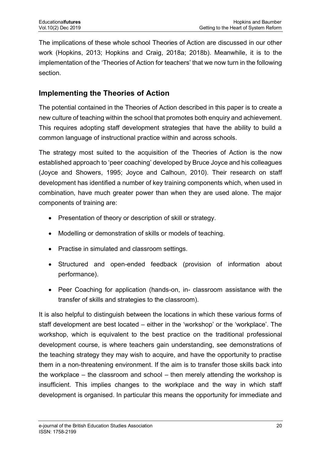The implications of these whole school Theories of Action are discussed in our other work (Hopkins, 2013; Hopkins and Craig, 2018a; 2018b). Meanwhile, it is to the implementation of the 'Theories of Action for teachers' that we now turn in the following section.

#### **Implementing the Theories of Action**

The potential contained in the Theories of Action described in this paper is to create a new culture of teaching within the school that promotes both enquiry and achievement. This requires adopting staff development strategies that have the ability to build a common language of instructional practice within and across schools.

The strategy most suited to the acquisition of the Theories of Action is the now established approach to 'peer coaching' developed by Bruce Joyce and his colleagues (Joyce and Showers, 1995; Joyce and Calhoun, 2010). Their research on staff development has identified a number of key training components which, when used in combination, have much greater power than when they are used alone. The major components of training are:

- Presentation of theory or description of skill or strategy.
- Modelling or demonstration of skills or models of teaching.
- Practise in simulated and classroom settings.
- Structured and open-ended feedback (provision of information about performance).
- Peer Coaching for application (hands-on, in- classroom assistance with the transfer of skills and strategies to the classroom).

It is also helpful to distinguish between the locations in which these various forms of staff development are best located – either in the 'workshop' or the 'workplace'. The workshop, which is equivalent to the best practice on the traditional professional development course, is where teachers gain understanding, see demonstrations of the teaching strategy they may wish to acquire, and have the opportunity to practise them in a non-threatening environment. If the aim is to transfer those skills back into the workplace – the classroom and school – then merely attending the workshop is insufficient. This implies changes to the workplace and the way in which staff development is organised. In particular this means the opportunity for immediate and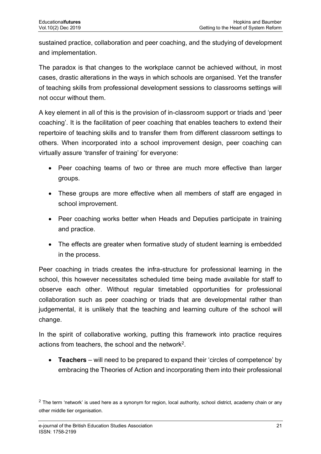sustained practice, collaboration and peer coaching, and the studying of development and implementation.

The paradox is that changes to the workplace cannot be achieved without, in most cases, drastic alterations in the ways in which schools are organised. Yet the transfer of teaching skills from professional development sessions to classrooms settings will not occur without them.

A key element in all of this is the provision of in-classroom support or triads and 'peer coaching'. It is the facilitation of peer coaching that enables teachers to extend their repertoire of teaching skills and to transfer them from different classroom settings to others. When incorporated into a school improvement design, peer coaching can virtually assure 'transfer of training' for everyone:

- Peer coaching teams of two or three are much more effective than larger groups.
- These groups are more effective when all members of staff are engaged in school improvement.
- Peer coaching works better when Heads and Deputies participate in training and practice.
- The effects are greater when formative study of student learning is embedded in the process.

Peer coaching in triads creates the infra-structure for professional learning in the school, this however necessitates scheduled time being made available for staff to observe each other. Without regular timetabled opportunities for professional collaboration such as peer coaching or triads that are developmental rather than judgemental, it is unlikely that the teaching and learning culture of the school will change.

In the spirit of collaborative working, putting this framework into practice requires actions from teachers, the school and the network<sup>2</sup>.

• **Teachers** – will need to be prepared to expand their 'circles of competence' by embracing the Theories of Action and incorporating them into their professional

 $2$  The term 'network' is used here as a synonym for region, local authority, school district, academy chain or any other middle tier organisation.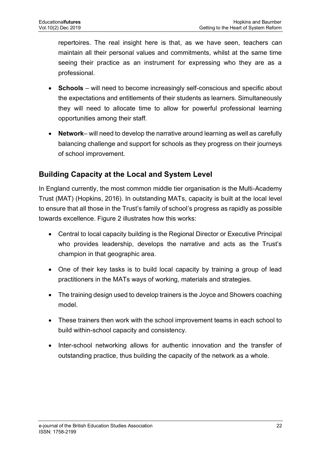repertoires. The real insight here is that, as we have seen, teachers can maintain all their personal values and commitments, whilst at the same time seeing their practice as an instrument for expressing who they are as a professional.

- **Schools** will need to become increasingly self-conscious and specific about the expectations and entitlements of their students as learners. Simultaneously they will need to allocate time to allow for powerful professional learning opportunities among their staff.
- **Network** will need to develop the narrative around learning as well as carefully balancing challenge and support for schools as they progress on their journeys of school improvement.

## **Building Capacity at the Local and System Level**

In England currently, the most common middle tier organisation is the Multi-Academy Trust (MAT) (Hopkins, 2016). In outstanding MATs, capacity is built at the local level to ensure that all those in the Trust's family of school's progress as rapidly as possible towards excellence. Figure 2 illustrates how this works:

- Central to local capacity building is the Regional Director or Executive Principal who provides leadership, develops the narrative and acts as the Trust's champion in that geographic area.
- One of their key tasks is to build local capacity by training a group of lead practitioners in the MATs ways of working, materials and strategies.
- The training design used to develop trainers is the Joyce and Showers coaching model.
- These trainers then work with the school improvement teams in each school to build within-school capacity and consistency.
- Inter-school networking allows for authentic innovation and the transfer of outstanding practice, thus building the capacity of the network as a whole.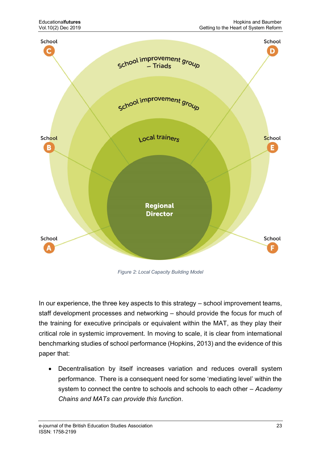

*Figure 2: Local Capacity Building Model*

In our experience, the three key aspects to this strategy – school improvement teams, staff development processes and networking – should provide the focus for much of the training for executive principals or equivalent within the MAT, as they play their critical role in systemic improvement. In moving to scale, it is clear from international benchmarking studies of school performance (Hopkins, 2013) and the evidence of this paper that:

• Decentralisation by itself increases variation and reduces overall system performance. There is a consequent need for some 'mediating level' within the system to connect the centre to schools and schools to each other – *Academy Chains and MATs can provide this function*.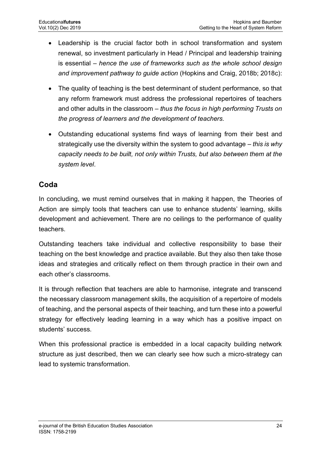- Leadership is the crucial factor both in school transformation and system renewal, so investment particularly in Head / Principal and leadership training is essential – *hence the use of frameworks such as the whole school design and improvement pathway to guide action* (Hopkins and Craig, 2018b; 2018c):
- The quality of teaching is the best determinant of student performance, so that any reform framework must address the professional repertoires of teachers and other adults in the classroom – *thus the focus in high performing Trusts on the progress of learners and the development of teachers.*
- Outstanding educational systems find ways of learning from their best and strategically use the diversity within the system to good advantage – *this is why capacity needs to be built, not only within Trusts, but also between them at the system level*.

#### **Coda**

In concluding, we must remind ourselves that in making it happen, the Theories of Action are simply tools that teachers can use to enhance students' learning, skills development and achievement. There are no ceilings to the performance of quality teachers.

Outstanding teachers take individual and collective responsibility to base their teaching on the best knowledge and practice available. But they also then take those ideas and strategies and critically reflect on them through practice in their own and each other's classrooms.

It is through reflection that teachers are able to harmonise, integrate and transcend the necessary classroom management skills, the acquisition of a repertoire of models of teaching, and the personal aspects of their teaching, and turn these into a powerful strategy for effectively leading learning in a way which has a positive impact on students' success.

When this professional practice is embedded in a local capacity building network structure as just described, then we can clearly see how such a micro-strategy can lead to systemic transformation.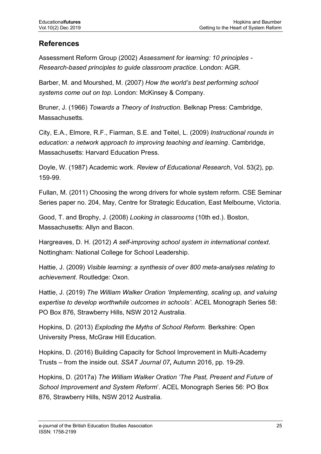#### **References**

Assessment Reform Group (2002) *Assessment for learning: 10 principles - Research-based principles to guide classroom practice*. London: AGR.

Barber, M. and Mourshed, M. (2007) *How the world's best performing school systems come out on top*. London: McKinsey & Company.

Bruner, J. (1966) *Towards a Theory of Instruction*. Belknap Press: Cambridge, Massachusetts.

City, E.A., Elmore, R.F., Fiarman, S.E. and Teitel, L. (2009) *Instructional rounds in education: a network approach to improving teaching and learning*. Cambridge, Massachusetts: Harvard Education Press.

Doyle, W. (1987) Academic work. *Review of Educational Research*, Vol. 53(2), pp. 159-99.

Fullan, M. (2011) Choosing the wrong drivers for whole system reform. CSE Seminar Series paper no. 204, May, Centre for Strategic Education, East Melbourne, Victoria.

Good, T. and Brophy, J. (2008) *Looking in classrooms* (10th ed.). Boston, Massachusetts: Allyn and Bacon.

Hargreaves, D. H. (2012) *A self-improving school system in international context*. Nottingham: National College for School Leadership.

Hattie, J. (2009) *Visible learning: a synthesis of over 800 meta-analyses relating to achievement*. Routledge: Oxon.

Hattie, J. (2019) *The William Walker Oration 'Implementing, scaling up, and valuing expertise to develop worthwhile outcomes in schools'*. ACEL Monograph Series 58: PO Box 876, Strawberry Hills, NSW 2012 Australia.

Hopkins, D. (2013) *Exploding the Myths of School Reform.* Berkshire: Open University Press, McGraw Hill Education.

Hopkins, D. (2016) Building Capacity for School Improvement in Multi-Academy Trusts – from the inside out. *SSAT Journal 07***,** Autumn 2016, pp. 19-29.

Hopkins, D. (2017a) *The William Walker Oration 'The Past, Present and Future of School Improvement and System Reform*'. ACEL Monograph Series 56: PO Box 876, Strawberry Hills, NSW 2012 Australia.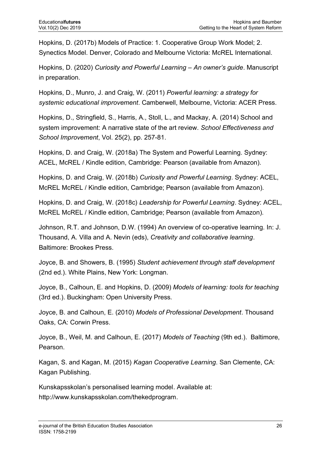Hopkins, D. (2017b) Models of Practice: 1. Cooperative Group Work Model; 2. Synectics Model. Denver, Colorado and Melbourne Victoria: McREL International.

Hopkins, D. (2020) *Curiosity and Powerful Learning – An owner's guide*. Manuscript in preparation.

Hopkins, D., Munro, J. and Craig, W. (2011) *Powerful learning: a strategy for systemic educational improvement*. Camberwell, Melbourne, Victoria: ACER Press.

Hopkins, D., Stringfield, S., Harris, A., Stoll, L., and Mackay, A. (2014) School and system improvement: A narrative state of the art review. *School Effectiveness and School Improvement*, Vol. 25(2), pp. 257-81.

Hopkins, D. and Craig, W. (2018a) The System and Powerful Learning. Sydney: ACEL, McREL / Kindle edition, Cambridge: Pearson (available from Amazon).

Hopkins, D. and Craig, W. (2018b) *Curiosity and Powerful Learning*. Sydney: ACEL, McREL McREL / Kindle edition, Cambridge; Pearson (available from Amazon).

Hopkins, D. and Craig, W. (2018c) *Leadership for Powerful Learning*. Sydney: ACEL, McREL McREL / Kindle edition, Cambridge; Pearson (available from Amazon).

Johnson, R.T. and Johnson, D.W. (1994) An overview of co-operative learning. In: J. Thousand, A. Villa and A. Nevin (eds), *Creativity and collaborative learning*. Baltimore: Brookes Press.

Joyce, B. and Showers, B. (1995) *Student achievement through staff development* (2nd ed.). White Plains, New York: Longman.

Joyce, B., Calhoun, E. and Hopkins, D. (2009) *Models of learning: tools for teaching* (3rd ed.). Buckingham: Open University Press.

Joyce, B. and Calhoun, E. (2010) *Models of Professional Development*. Thousand Oaks, CA: Corwin Press.

Joyce, B., Weil, M. and Calhoun, E. (2017) *Models of Teaching* (9th ed.). Baltimore, Pearson.

Kagan, S. and Kagan, M. (2015) *Kagan Cooperative Learning*. San Clemente, CA: Kagan Publishing.

Kunskapsskolan's personalised learning model. Available at: http://www.kunskapsskolan.com/thekedprogram.